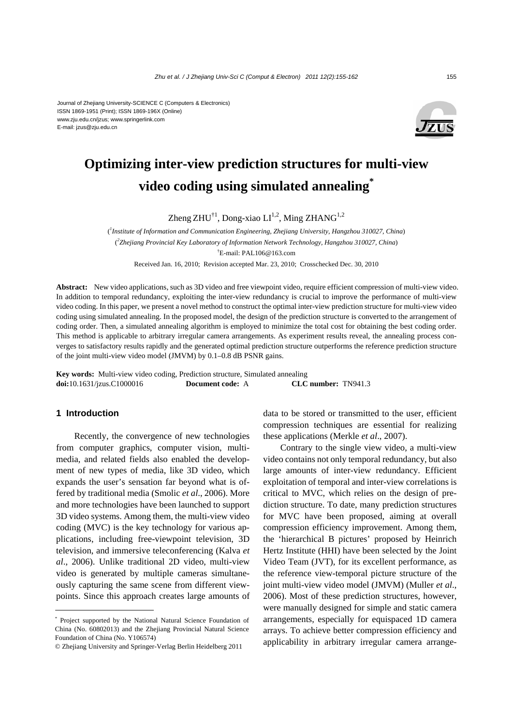#### Journal of Zhejiang University-SCIENCE C (Computers & Electronics) ISSN 1869-1951 (Print); ISSN 1869-196X (Online) www.zju.edu.cn/jzus; www.springerlink.com E-mail: jzus@zju.edu.cn



# **Optimizing inter-view prediction structures for multi-view video coding using simulated annealing\***

Zheng ZHU<sup>†1</sup>, Dong-xiao LI<sup>1,2</sup>, Ming ZHANG<sup>1,2</sup>

( *1 Institute of Information and Communication Engineering, Zhejiang University, Hangzhou 310027, China*) ( *2 Zhejiang Provincial Key Laboratory of Information Network Technology, Hangzhou 310027, China*) † E-mail: PAL106@163.com Received Jan. 16, 2010; Revision accepted Mar. 23, 2010; Crosschecked Dec. 30, 2010

**Abstract:** New video applications, such as 3D video and free viewpoint video, require efficient compression of multi-view video. In addition to temporal redundancy, exploiting the inter-view redundancy is crucial to improve the performance of multi-view video coding. In this paper, we present a novel method to construct the optimal inter-view prediction structure for multi-view video coding using simulated annealing. In the proposed model, the design of the prediction structure is converted to the arrangement of coding order. Then, a simulated annealing algorithm is employed to minimize the total cost for obtaining the best coding order. This method is applicable to arbitrary irregular camera arrangements. As experiment results reveal, the annealing process converges to satisfactory results rapidly and the generated optimal prediction structure outperforms the reference prediction structure of the joint multi-view video model (JMVM) by 0.1–0.8 dB PSNR gains.

**Key words:** Multi-view video coding, Prediction structure, Simulated annealing **doi:**10.1631/jzus.C1000016 **Document code:** A **CLC number:** TN941.3

## **1 Introduction**

Recently, the convergence of new technologies from computer graphics, computer vision, multimedia, and related fields also enabled the development of new types of media, like 3D video, which expands the user's sensation far beyond what is offered by traditional media (Smolic *et al*., 2006). More and more technologies have been launched to support 3D video systems. Among them, the multi-view video coding (MVC) is the key technology for various applications, including free-viewpoint television, 3D television, and immersive teleconferencing (Kalva *et al*., 2006). Unlike traditional 2D video, multi-view video is generated by multiple cameras simultaneously capturing the same scene from different viewpoints. Since this approach creates large amounts of data to be stored or transmitted to the user, efficient compression techniques are essential for realizing these applications (Merkle *et al*., 2007).

Contrary to the single view video, a multi-view video contains not only temporal redundancy, but also large amounts of inter-view redundancy. Efficient exploitation of temporal and inter-view correlations is critical to MVC, which relies on the design of prediction structure. To date, many prediction structures for MVC have been proposed, aiming at overall compression efficiency improvement. Among them, the 'hierarchical B pictures' proposed by Heinrich Hertz Institute (HHI) have been selected by the Joint Video Team (JVT), for its excellent performance, as the reference view-temporal picture structure of the joint multi-view video model (JMVM) (Muller *et al*., 2006). Most of these prediction structures, however, were manually designed for simple and static camera arrangements, especially for equispaced 1D camera arrays. To achieve better compression efficiency and applicability in arbitrary irregular camera arrange-

<sup>\*</sup> Project supported by the National Natural Science Foundation of China (No. 60802013) and the Zhejiang Provincial Natural Science Foundation of China (No. Y106574)

<sup>©</sup> Zhejiang University and Springer-Verlag Berlin Heidelberg 2011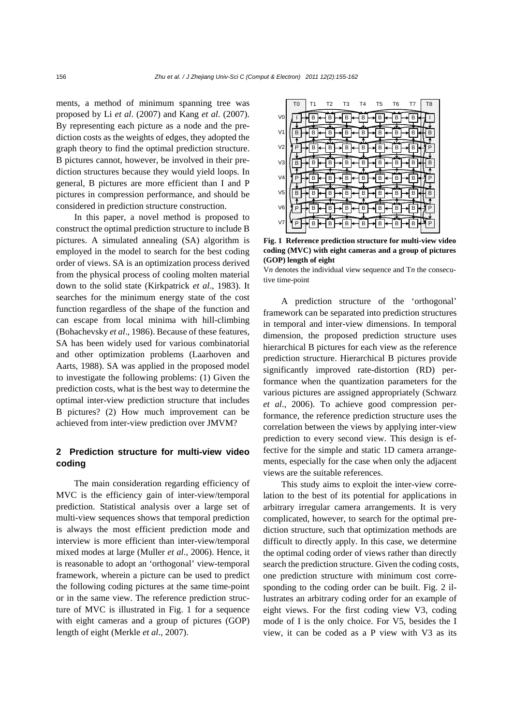ments, a method of minimum spanning tree was proposed by Li *et al*. (2007) and Kang *et al*. (2007). By representing each picture as a node and the prediction costs as the weights of edges, they adopted the graph theory to find the optimal prediction structure. B pictures cannot, however, be involved in their prediction structures because they would yield loops. In general, B pictures are more efficient than I and P pictures in compression performance, and should be considered in prediction structure construction.

In this paper, a novel method is proposed to construct the optimal prediction structure to include B pictures. A simulated annealing (SA) algorithm is employed in the model to search for the best coding order of views. SA is an optimization process derived from the physical process of cooling molten material down to the solid state (Kirkpatrick *et al*., 1983). It searches for the minimum energy state of the cost function regardless of the shape of the function and can escape from local minima with hill-climbing (Bohachevsky *et al*., 1986). Because of these features, SA has been widely used for various combinatorial and other optimization problems (Laarhoven and Aarts, 1988). SA was applied in the proposed model to investigate the following problems: (1) Given the prediction costs, what is the best way to determine the optimal inter-view prediction structure that includes B pictures? (2) How much improvement can be achieved from inter-view prediction over JMVM?

# **2 Prediction structure for multi-view video coding**

The main consideration regarding efficiency of MVC is the efficiency gain of inter-view/temporal prediction. Statistical analysis over a large set of multi-view sequences shows that temporal prediction is always the most efficient prediction mode and interview is more efficient than inter-view/temporal mixed modes at large (Muller *et al*., 2006). Hence, it is reasonable to adopt an 'orthogonal' view-temporal framework, wherein a picture can be used to predict the following coding pictures at the same time-point or in the same view. The reference prediction structure of MVC is illustrated in Fig. 1 for a sequence with eight cameras and a group of pictures (GOP) length of eight (Merkle *et al*., 2007).

|                | T <sub>0</sub> | Τ1 | T2 | T3 | T4 | T <sub>5</sub> | Т6 | T7 | T <sub>8</sub> |
|----------------|----------------|----|----|----|----|----------------|----|----|----------------|
| V <sub>0</sub> |                | в  | В  | В  | В  | B              | В  | B  |                |
| V <sub>1</sub> |                | в  | B  | B  | B  | B              | в  | в  | R              |
| V <sub>2</sub> | P              | B  | B  | В  | В  | B              | B  | в  |                |
| V <sub>3</sub> | B              | В  | B  | В  | В  | в              | B  | В  | в              |
| V <sub>4</sub> | P              | В  | B  | B  | B  | B              | B  | В  | Р              |
| V <sub>5</sub> | в              | B  | B  | В  | в  | B              | B  | B  | R              |
| V <sub>6</sub> | P              | В  | B  | B  | В  | В              | B  | B  |                |
| V <sub>7</sub> |                | B  | B  | B  | B  | R              | B  | B  |                |

**Fig. 1 Reference prediction structure for multi-view video coding (MVC) with eight cameras and a group of pictures (GOP) length of eight** 

V*n* denotes the individual view sequence and T*n* the consecutive time-point

A prediction structure of the 'orthogonal' framework can be separated into prediction structures in temporal and inter-view dimensions. In temporal dimension, the proposed prediction structure uses hierarchical B pictures for each view as the reference prediction structure. Hierarchical B pictures provide significantly improved rate-distortion (RD) performance when the quantization parameters for the various pictures are assigned appropriately (Schwarz *et al*., 2006). To achieve good compression performance, the reference prediction structure uses the correlation between the views by applying inter-view prediction to every second view. This design is effective for the simple and static 1D camera arrangements, especially for the case when only the adjacent views are the suitable references.

This study aims to exploit the inter-view correlation to the best of its potential for applications in arbitrary irregular camera arrangements. It is very complicated, however, to search for the optimal prediction structure, such that optimization methods are difficult to directly apply. In this case, we determine the optimal coding order of views rather than directly search the prediction structure. Given the coding costs, one prediction structure with minimum cost corresponding to the coding order can be built. Fig. 2 illustrates an arbitrary coding order for an example of eight views. For the first coding view V3, coding mode of I is the only choice. For V5, besides the I view, it can be coded as a P view with V3 as its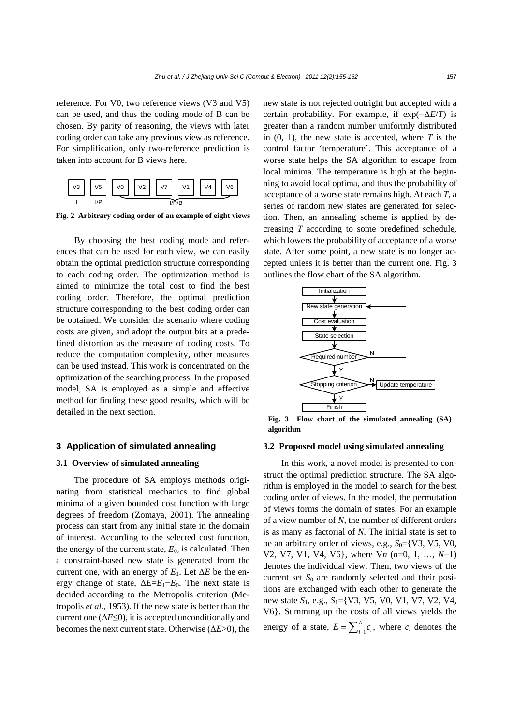reference. For V0, two reference views (V3 and V5) can be used, and thus the coding mode of B can be chosen. By parity of reasoning, the views with later coding order can take any previous view as reference. For simplification, only two-reference prediction is taken into account for B views here.



**Fig. 2 Arbitrary coding order of an example of eight views**

By choosing the best coding mode and references that can be used for each view, we can easily obtain the optimal prediction structure corresponding to each coding order. The optimization method is aimed to minimize the total cost to find the best coding order. Therefore, the optimal prediction structure corresponding to the best coding order can be obtained. We consider the scenario where coding costs are given, and adopt the output bits at a predefined distortion as the measure of coding costs. To reduce the computation complexity, other measures can be used instead. This work is concentrated on the optimization of the searching process. In the proposed model, SA is employed as a simple and effective method for finding these good results, which will be detailed in the next section.

## **3 Application of simulated annealing**

## **3.1 Overview of simulated annealing**

The procedure of SA employs methods originating from statistical mechanics to find global minima of a given bounded cost function with large degrees of freedom (Zomaya, 2001). The annealing process can start from any initial state in the domain of interest. According to the selected cost function, the energy of the current state,  $E_0$ , is calculated. Then a constraint-based new state is generated from the current one, with an energy of  $E_1$ . Let  $\Delta E$  be the energy change of state,  $\Delta E = E_1 - E_0$ . The next state is decided according to the Metropolis criterion (Metropolis *et al*., 1953). If the new state is better than the current one  $(\Delta E \le 0)$ , it is accepted unconditionally and becomes the next current state. Otherwise (Δ*E*>0), the new state is not rejected outright but accepted with a certain probability. For example, if exp(−Δ*E*/*T*) is greater than a random number uniformly distributed in  $(0, 1)$ , the new state is accepted, where  $T$  is the control factor 'temperature'. This acceptance of a worse state helps the SA algorithm to escape from local minima. The temperature is high at the beginning to avoid local optima, and thus the probability of acceptance of a worse state remains high. At each *T*, a series of random new states are generated for selection. Then, an annealing scheme is applied by decreasing *T* according to some predefined schedule, which lowers the probability of acceptance of a worse state. After some point, a new state is no longer accepted unless it is better than the current one. Fig. 3 outlines the flow chart of the SA algorithm.



**Fig. 3 Flow chart of the simulated annealing (SA) algorithm** 

## **3.2 Proposed model using simulated annealing**

In this work, a novel model is presented to construct the optimal prediction structure. The SA algorithm is employed in the model to search for the best coding order of views. In the model, the permutation of views forms the domain of states. For an example of a view number of *N*, the number of different orders is as many as factorial of *N*. The initial state is set to be an arbitrary order of views, e.g.,  $S_0 = \{V3, V5, V0,$ V2, V7, V1, V4, V6}, where V*n* (*n*=0, 1, …, *N*−1) denotes the individual view. Then, two views of the current set  $S_0$  are randomly selected and their positions are exchanged with each other to generate the new state *S*1, e.g., *S*1={V3, V5, V0, V1, V7, V2, V4, V6}. Summing up the costs of all views yields the energy of a state,  $E = \sum_{i=1}^{N} c_i$ , where  $c_i$  denotes the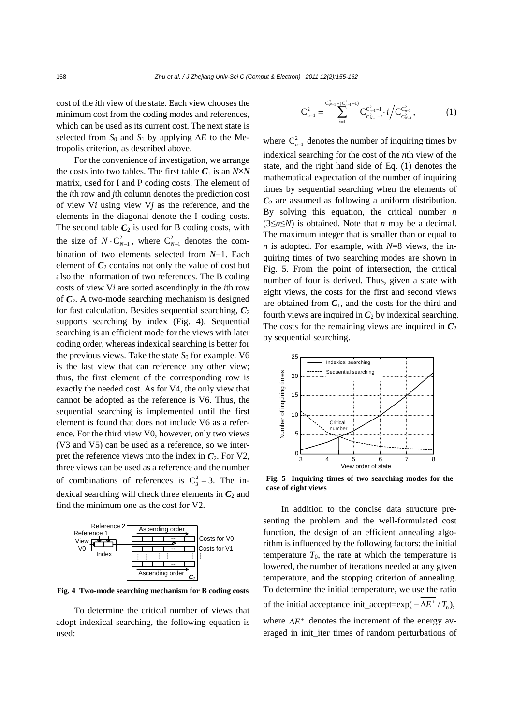cost of the *i*th view of the state. Each view chooses the minimum cost from the coding modes and references, which can be used as its current cost. The next state is selected from  $S_0$  and  $S_1$  by applying  $\Delta E$  to the Metropolis criterion, as described above.

For the convenience of investigation, we arrange the costs into two tables. The first table  $C_1$  is an  $N \times N$ matrix, used for I and P coding costs. The element of the *i*th row and *j*th column denotes the prediction cost of view V*i* using view V*j* as the reference, and the elements in the diagonal denote the I coding costs. The second table  $C_2$  is used for B coding costs, with the size of  $N \cdot C_{N-1}^2$ , where  $C_{N-1}^2$  denotes the combination of two elements selected from *N*−1. Each element of  $C_2$  contains not only the value of cost but also the information of two references. The B coding costs of view V*i* are sorted ascendingly in the *i*th row of  $C_2$ . A two-mode searching mechanism is designed for fast calculation. Besides sequential searching,  $C_2$ supports searching by index (Fig. 4). Sequential searching is an efficient mode for the views with later coding order, whereas indexical searching is better for the previous views. Take the state  $S_0$  for example. V6 is the last view that can reference any other view; thus, the first element of the corresponding row is exactly the needed cost. As for V4, the only view that cannot be adopted as the reference is V6. Thus, the sequential searching is implemented until the first element is found that does not include V6 as a reference. For the third view V0, however, only two views (V3 and V5) can be used as a reference, so we interpret the reference views into the index in  $C_2$ . For V2, three views can be used as a reference and the number of combinations of references is  $C_3^2 = 3$ . The indexical searching will check three elements in  $C_2$  and find the minimum one as the cost for V2.



**Fig. 4 Two-mode searching mechanism for B coding costs**

To determine the critical number of views that adopt indexical searching, the following equation is used:

$$
C_{n-1}^2 = \sum_{i=1}^{C_{N-1}^2 - (C_{n-1}^2 - 1)} C_{C_{N-1}^2 - i}^{C_{n-1}^2 - 1} \cdot i / C_{C_{N-1}^2}^{C_{n-1}^2},
$$
 (1)

where  $C_{n-1}^2$  denotes the number of inquiring times by indexical searching for the cost of the *n*th view of the state, and the right hand side of Eq. (1) denotes the mathematical expectation of the number of inquiring times by sequential searching when the elements of  $C_2$  are assumed as following a uniform distribution. By solving this equation, the critical number *n* (3≤*n*≤*N*) is obtained. Note that *n* may be a decimal. The maximum integer that is smaller than or equal to *n* is adopted. For example, with *N*=8 views, the inquiring times of two searching modes are shown in Fig. 5. From the point of intersection, the critical number of four is derived. Thus, given a state with eight views, the costs for the first and second views are obtained from  $C_1$ , and the costs for the third and fourth views are inquired in  $C_2$  by indexical searching. The costs for the remaining views are inquired in  $C_2$ by sequential searching.



**Fig. 5 Inquiring times of two searching modes for the case of eight views**

In addition to the concise data structure presenting the problem and the well-formulated cost function, the design of an efficient annealing algorithm is influenced by the following factors: the initial temperature  $T_0$ , the rate at which the temperature is lowered, the number of iterations needed at any given temperature, and the stopping criterion of annealing. To determine the initial temperature, we use the ratio of the initial acceptance init\_accept=exp( $-\Delta E^+ / T_0$ ), where  $\overline{\Delta E^+}$  denotes the increment of the energy averaged in init\_iter times of random perturbations of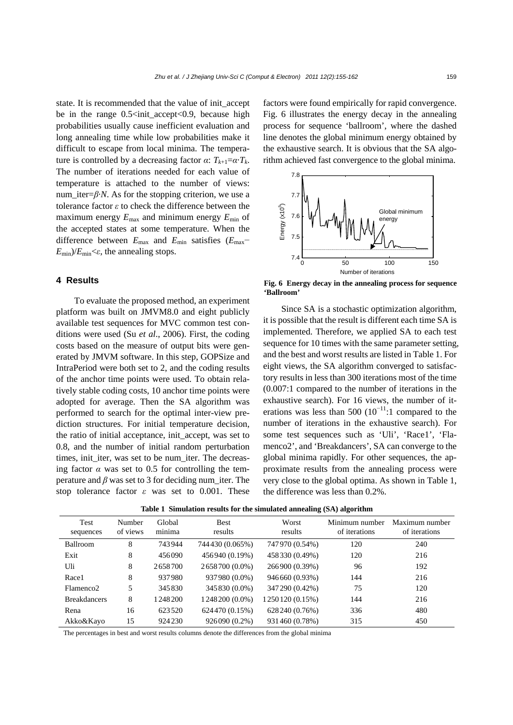state. It is recommended that the value of init\_accept be in the range  $0.5<$ init\_accept<0.9, because high probabilities usually cause inefficient evaluation and long annealing time while low probabilities make it difficult to escape from local minima. The temperature is controlled by a decreasing factor  $\alpha$ :  $T_{k+1} = \alpha \cdot T_k$ . The number of iterations needed for each value of temperature is attached to the number of views: num iter= $\beta$ ·*N*. As for the stopping criterion, we use a tolerance factor *ε* to check the difference between the maximum energy *E*max and minimum energy *E*min of the accepted states at some temperature. When the difference between  $E_{\text{max}}$  and  $E_{\text{min}}$  satisfies ( $E_{\text{max}}$ –  $E_{\text{min}}/E_{\text{min}}<\varepsilon$ , the annealing stops.

## **4 Results**

To evaluate the proposed method, an experiment platform was built on JMVM8.0 and eight publicly available test sequences for MVC common test conditions were used (Su *et al*., 2006). First, the coding costs based on the measure of output bits were generated by JMVM software. In this step, GOPSize and IntraPeriod were both set to 2, and the coding results of the anchor time points were used. To obtain relatively stable coding costs, 10 anchor time points were adopted for average. Then the SA algorithm was performed to search for the optimal inter-view prediction structures. For initial temperature decision, the ratio of initial acceptance, init\_accept, was set to 0.8, and the number of initial random perturbation times, init iter, was set to be num iter. The decreasing factor  $\alpha$  was set to 0.5 for controlling the temperature and  $\beta$  was set to 3 for deciding num iter. The stop tolerance factor *ε* was set to 0.001. These factors were found empirically for rapid convergence. Fig. 6 illustrates the energy decay in the annealing process for sequence 'ballroom', where the dashed line denotes the global minimum energy obtained by the exhaustive search. It is obvious that the SA algorithm achieved fast convergence to the global minima.



**Fig. 6 Energy decay in the annealing process for sequence 'Ballroom'**

Since SA is a stochastic optimization algorithm, it is possible that the result is different each time SA is implemented. Therefore, we applied SA to each test sequence for 10 times with the same parameter setting, and the best and worst results are listed in Table 1. For eight views, the SA algorithm converged to satisfactory results in less than 300 iterations most of the time (0.007:1 compared to the number of iterations in the exhaustive search). For 16 views, the number of iterations was less than 500  $(10^{-11})$ :1 compared to the number of iterations in the exhaustive search). For some test sequences such as 'Uli', 'Race1', 'Flamenco2', and 'Breakdancers', SA can converge to the global minima rapidly. For other sequences, the approximate results from the annealing process were very close to the global optima. As shown in Table 1, the difference was less than 0.2%.

| Test<br>sequences     | Number<br>of views | Global<br>minima | <b>Best</b><br>results | Worst<br>results  | Minimum number<br>of iterations | Maximum number<br>of iterations |
|-----------------------|--------------------|------------------|------------------------|-------------------|---------------------------------|---------------------------------|
| Ballroom              | 8                  | 743944           | 744430 (0.065%)        | 747970 (0.54%)    | 120                             | 240                             |
| Exit                  | 8                  | 456090           | 456940 (0.19%)         | 458330 (0.49%)    | 120                             | 216                             |
| Uli                   | 8                  | 2658700          | 2658700 (0.0%)         | 266900 (0.39%)    | 96                              | 192                             |
| Race1                 | 8                  | 937980           | 937980 (0.0%)          | 946660 (0.93%)    | 144                             | 216                             |
| Flamenco <sub>2</sub> | 5                  | 345830           | 345 830 (0.0%)         | 347290 (0.42%)    | 75                              | 120                             |
| <b>Breakdancers</b>   | 8                  | 1 248 200        | 1248200 (0.0%)         | 1 250 120 (0.15%) | 144                             | 216                             |
| Rena                  | 16                 | 623520           | 624470 (0.15%)         | 628240 (0.76%)    | 336                             | 480                             |
| Akko&Kayo             | 15                 | 924230           | 926090 (0.2%)          | 931460 (0.78%)    | 315                             | 450                             |

**Table 1 Simulation results for the simulated annealing (SA) algorithm** 

The percentages in best and worst results columns denote the differences from the global minima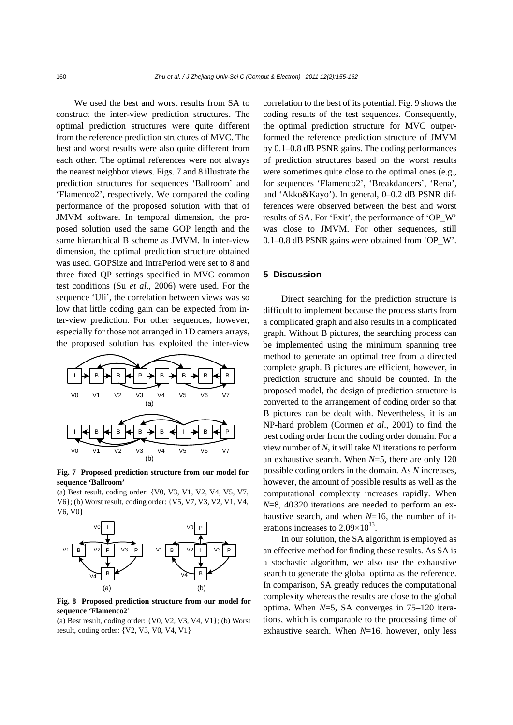We used the best and worst results from SA to construct the inter-view prediction structures. The optimal prediction structures were quite different from the reference prediction structures of MVC. The best and worst results were also quite different from each other. The optimal references were not always the nearest neighbor views. Figs. 7 and 8 illustrate the prediction structures for sequences 'Ballroom' and 'Flamenco2', respectively. We compared the coding performance of the proposed solution with that of JMVM software. In temporal dimension, the proposed solution used the same GOP length and the same hierarchical B scheme as JMVM. In inter-view dimension, the optimal prediction structure obtained was used. GOPSize and IntraPeriod were set to 8 and three fixed QP settings specified in MVC common test conditions (Su *et al*., 2006) were used. For the sequence 'Uli', the correlation between views was so low that little coding gain can be expected from inter-view prediction. For other sequences, however, especially for those not arranged in 1D camera arrays, the proposed solution has exploited the inter-view



**Fig. 7 Proposed prediction structure from our model for sequence 'Ballroom'** 

(a) Best result, coding order: {V0, V3, V1, V2, V4, V5, V7, V6}; (b) Worst result, coding order: {V5, V7, V3, V2, V1, V4, V6, V0}



**Fig. 8 Proposed prediction structure from our model for sequence 'Flamenco2'** 

(a) Best result, coding order:  $\{V0, V2, V3, V4, V1\}$ ; (b) Worst result, coding order: {V2, V3, V0, V4, V1}

correlation to the best of its potential. Fig. 9 shows the coding results of the test sequences. Consequently, the optimal prediction structure for MVC outperformed the reference prediction structure of JMVM by 0.1–0.8 dB PSNR gains. The coding performances of prediction structures based on the worst results were sometimes quite close to the optimal ones (e.g., for sequences 'Flamenco2', 'Breakdancers', 'Rena', and 'Akko&Kayo'). In general, 0–0.2 dB PSNR differences were observed between the best and worst results of SA. For 'Exit', the performance of 'OP\_W' was close to JMVM. For other sequences, still 0.1–0.8 dB PSNR gains were obtained from 'OP\_W'.

## **5 Discussion**

Direct searching for the prediction structure is difficult to implement because the process starts from a complicated graph and also results in a complicated graph. Without B pictures, the searching process can be implemented using the minimum spanning tree method to generate an optimal tree from a directed complete graph. B pictures are efficient, however, in prediction structure and should be counted. In the proposed model, the design of prediction structure is converted to the arrangement of coding order so that B pictures can be dealt with. Nevertheless, it is an NP-hard problem (Cormen *et al*., 2001) to find the best coding order from the coding order domain. For a view number of *N*, it will take *N*! iterations to perform an exhaustive search. When *N*=5, there are only 120 possible coding orders in the domain. As *N* increases, however, the amount of possible results as well as the computational complexity increases rapidly. When *N*=8, 40320 iterations are needed to perform an exhaustive search, and when *N*=16, the number of iterations increases to  $2.09\times10^{13}$ .

In our solution, the SA algorithm is employed as an effective method for finding these results. As SA is a stochastic algorithm, we also use the exhaustive search to generate the global optima as the reference. In comparison, SA greatly reduces the computational complexity whereas the results are close to the global optima. When *N*=5, SA converges in 75–120 iterations, which is comparable to the processing time of exhaustive search. When *N*=16, however, only less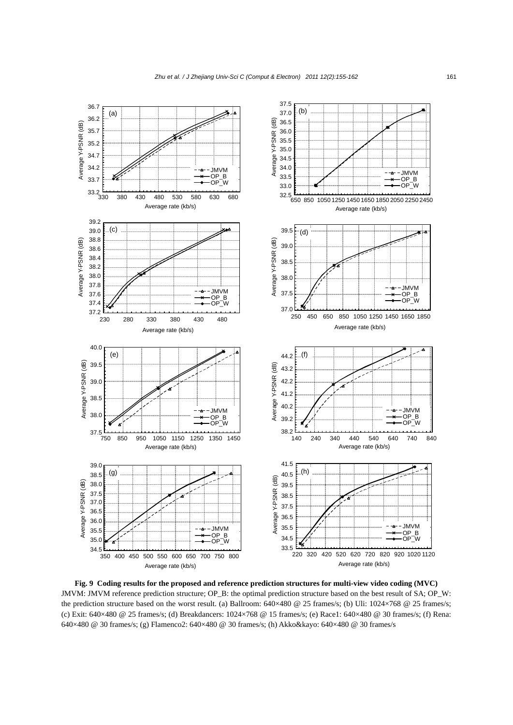

**Fig. 9 Coding results for the proposed and reference prediction structures for multi-view video coding (MVC)**  JMVM: JMVM reference prediction structure; OP\_B: the optimal prediction structure based on the best result of SA; OP\_W: the prediction structure based on the worst result. (a) Ballroom:  $640 \times 480$  @ 25 frames/s; (b) Uli:  $1024 \times 768$  @ 25 frames/s; (c) Exit: 640×480 @ 25 frames/s; (d) Breakdancers: 1024×768 @ 15 frames/s; (e) Race1: 640×480 @ 30 frames/s; (f) Rena: 640×480 @ 30 frames/s; (g) Flamenco2: 640×480 @ 30 frames/s; (h) Akko&kayo: 640×480 @ 30 frames/s